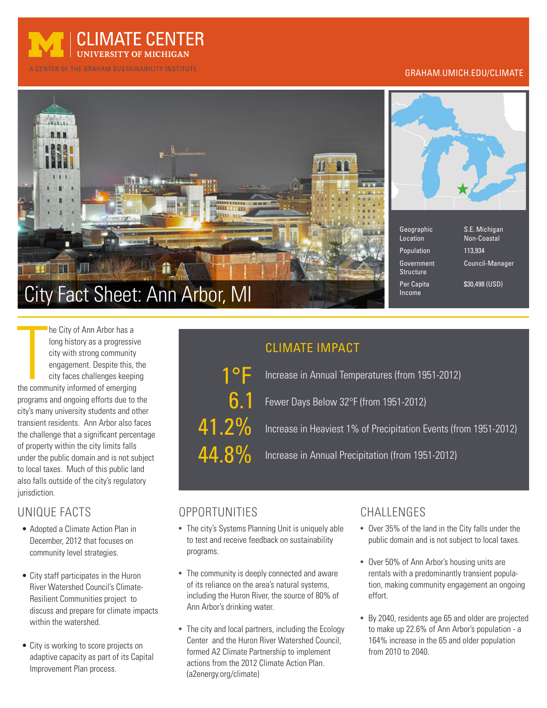

A CENTER OF THE GRAHAM SUSTAINABILITY INSTITUTE

#### GRAHAM.UMICH.EDU/CLIMATE





- Location Non-Coastal Population 113,934 Structure Per Capita  $$30.498$  (USD) Income
- Geographic S.E. Michigan Government Council-Manager

The City of Ann Arbor has a<br>
long history as a progressive<br>
city with strong community<br>
engagement. Despite this, t<br>
city faces challenges keepir<br>
the community informed of emerging he City of Ann Arbor has a long history as a progressive city with strong community engagement. Despite this, the city faces challenges keeping programs and ongoing efforts due to the city's many university students and other transient residents. Ann Arbor also faces the challenge that a significant percentage of property within the city limits falls under the public domain and is not subject to local taxes. Much of this public land also falls outside of the city's regulatory jurisdiction.

### UNIQUE FACTS

- Adopted a Climate Action Plan in December, 2012 that focuses on community level strategies.
- City staff participates in the Huron River Watershed Council's Climate-Resilient Communities project to discuss and prepare for climate impacts within the watershed.
- City is working to score projects on adaptive capacity as part of its Capital Improvement Plan process.

## CLIMATE IMPACT

1°F 6.1 41.2% 44.8%

Increase in Annual Temperatures (from 1951-2012)

Fewer Days Below 32°F (from 1951-2012)

Increase in Heaviest 1% of Precipitation Events (from 1951-2012)

Increase in Annual Precipitation (from 1951-2012)

### OPPORTUNITIES

- The city's Systems Planning Unit is uniquely able to test and receive feedback on sustainability programs.
- The community is deeply connected and aware of its reliance on the area's natural systems, including the Huron River, the source of 80% of Ann Arbor's drinking water.
- The city and local partners, including the Ecology Center and the Huron River Watershed Council, formed A2 Climate Partnership to implement actions from the 2012 Climate Action Plan. (a2energy.org/climate)

### CHALLENGES

- Over 35% of the land in the City falls under the public domain and is not subject to local taxes.
- Over 50% of Ann Arbor's housing units are rentals with a predominantly transient population, making community engagement an ongoing effort.
- By 2040, residents age 65 and older are projected to make up 22.6% of Ann Arbor's population - a 164% increase in the 65 and older population from 2010 to 2040.